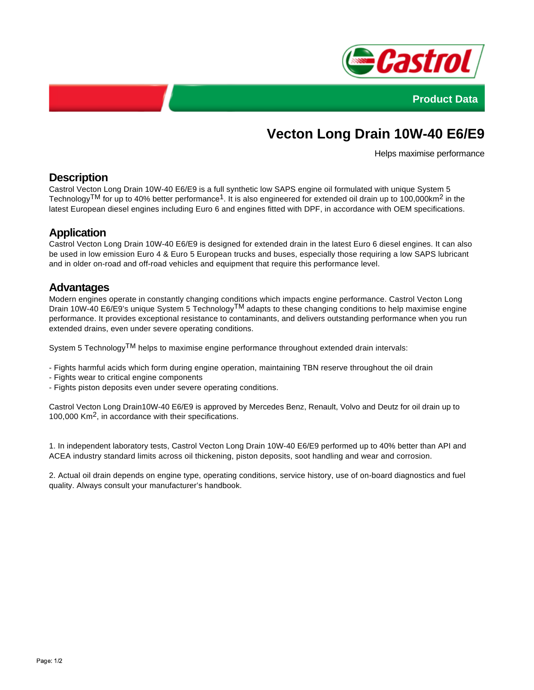



# **Vecton Long Drain 10W-40 E6/E9**

Helps maximise performance

# **Description**

Castrol Vecton Long Drain 10W-40 E6/E9 is a full synthetic low SAPS engine oil formulated with unique System 5 Technology<sup>TM</sup> for up to 40% better performance<sup>1</sup>. It is also engineered for extended oil drain up to 100,000km<sup>2</sup> in the latest European diesel engines including Euro 6 and engines fitted with DPF, in accordance with OEM specifications.

# **Application**

Castrol Vecton Long Drain 10W-40 E6/E9 is designed for extended drain in the latest Euro 6 diesel engines. It can also be used in low emission Euro 4 & Euro 5 European trucks and buses, especially those requiring a low SAPS lubricant and in older on-road and off-road vehicles and equipment that require this performance level.

#### **Advantages**

Modern engines operate in constantly changing conditions which impacts engine performance. Castrol Vecton Long Drain 10W-40 E6/E9's unique System 5 Technology<sup>TM</sup> adapts to these changing conditions to help maximise engine performance. It provides exceptional resistance to contaminants, and delivers outstanding performance when you run extended drains, even under severe operating conditions.

System 5 Technology<sup>TM</sup> helps to maximise engine performance throughout extended drain intervals:

- Fights harmful acids which form during engine operation, maintaining TBN reserve throughout the oil drain
- Fights wear to critical engine components
- Fights piston deposits even under severe operating conditions.

Castrol Vecton Long Drain10W-40 E6/E9 is approved by Mercedes Benz, Renault, Volvo and Deutz for oil drain up to 100,000 Km<sup>2</sup>, in accordance with their specifications.

1. In independent laboratory tests, Castrol Vecton Long Drain 10W-40 E6/E9 performed up to 40% better than API and ACEA industry standard limits across oil thickening, piston deposits, soot handling and wear and corrosion.

2. Actual oil drain depends on engine type, operating conditions, service history, use of on-board diagnostics and fuel quality. Always consult your manufacturer's handbook.